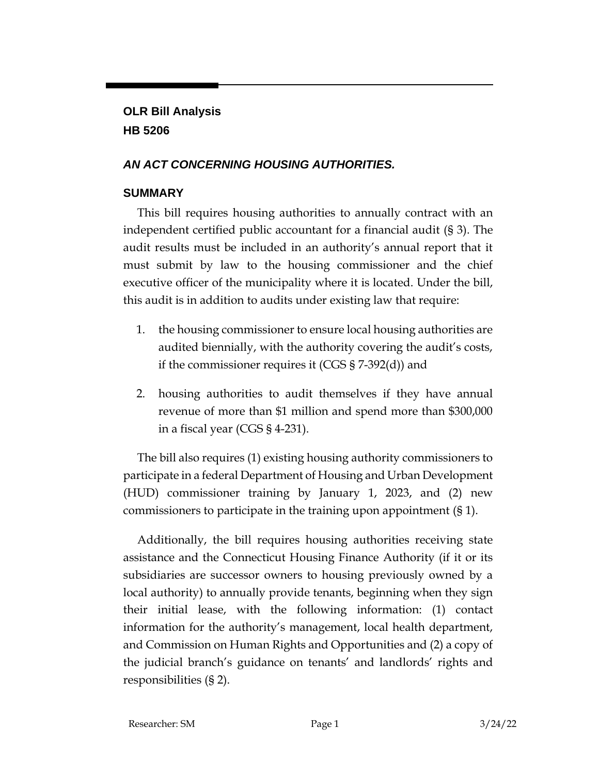## **OLR Bill Analysis HB 5206**

## *AN ACT CONCERNING HOUSING AUTHORITIES.*

## **SUMMARY**

This bill requires housing authorities to annually contract with an independent certified public accountant for a financial audit (§ 3). The audit results must be included in an authority's annual report that it must submit by law to the housing commissioner and the chief executive officer of the municipality where it is located. Under the bill, this audit is in addition to audits under existing law that require:

- 1. the housing commissioner to ensure local housing authorities are audited biennially, with the authority covering the audit's costs, if the commissioner requires it (CGS § 7-392(d)) and
- 2. housing authorities to audit themselves if they have annual revenue of more than \$1 million and spend more than \$300,000 in a fiscal year (CGS § 4-231).

The bill also requires (1) existing housing authority commissioners to participate in a federal Department of Housing and Urban Development (HUD) commissioner training by January 1, 2023, and (2) new commissioners to participate in the training upon appointment (§ 1).

Additionally, the bill requires housing authorities receiving state assistance and the Connecticut Housing Finance Authority (if it or its subsidiaries are successor owners to housing previously owned by a local authority) to annually provide tenants, beginning when they sign their initial lease, with the following information: (1) contact information for the authority's management, local health department, and Commission on Human Rights and Opportunities and (2) a copy of the judicial branch's guidance on tenants' and landlords' rights and responsibilities (§ 2).